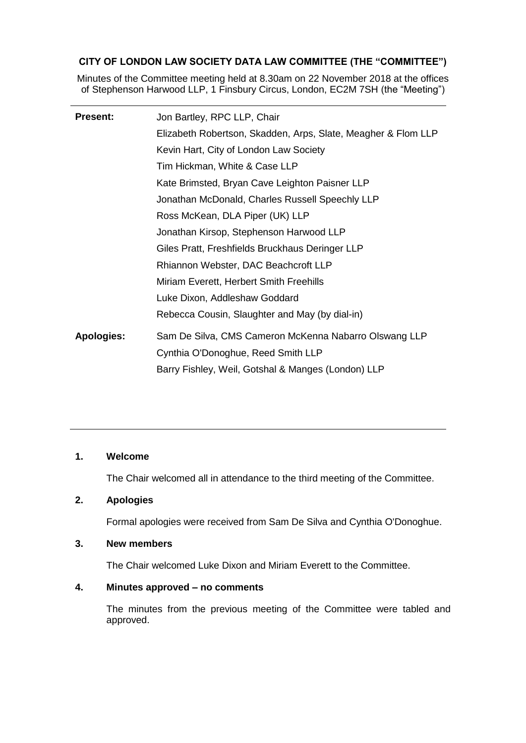# **CITY OF LONDON LAW SOCIETY DATA LAW COMMITTEE (THE "COMMITTEE")**

Minutes of the Committee meeting held at 8.30am on 22 November 2018 at the offices of Stephenson Harwood LLP, 1 Finsbury Circus, London, EC2M 7SH (the "Meeting")

| <b>Present:</b>   | Jon Bartley, RPC LLP, Chair                                   |
|-------------------|---------------------------------------------------------------|
|                   | Elizabeth Robertson, Skadden, Arps, Slate, Meagher & Flom LLP |
|                   | Kevin Hart, City of London Law Society                        |
|                   | Tim Hickman, White & Case LLP                                 |
|                   | Kate Brimsted, Bryan Cave Leighton Paisner LLP                |
|                   | Jonathan McDonald, Charles Russell Speechly LLP               |
|                   | Ross McKean, DLA Piper (UK) LLP                               |
|                   | Jonathan Kirsop, Stephenson Harwood LLP                       |
|                   | Giles Pratt, Freshfields Bruckhaus Deringer LLP               |
|                   | Rhiannon Webster, DAC Beachcroft LLP                          |
|                   | Miriam Everett, Herbert Smith Freehills                       |
|                   | Luke Dixon, Addleshaw Goddard                                 |
|                   | Rebecca Cousin, Slaughter and May (by dial-in)                |
| <b>Apologies:</b> | Sam De Silva, CMS Cameron McKenna Nabarro Olswang LLP         |
|                   | Cynthia O'Donoghue, Reed Smith LLP                            |
|                   | Barry Fishley, Weil, Gotshal & Manges (London) LLP            |

#### **1. Welcome**

The Chair welcomed all in attendance to the third meeting of the Committee.

# **2. Apologies**

Formal apologies were received from Sam De Silva and Cynthia O'Donoghue.

## **3. New members**

The Chair welcomed Luke Dixon and Miriam Everett to the Committee.

## **4. Minutes approved – no comments**

The minutes from the previous meeting of the Committee were tabled and approved.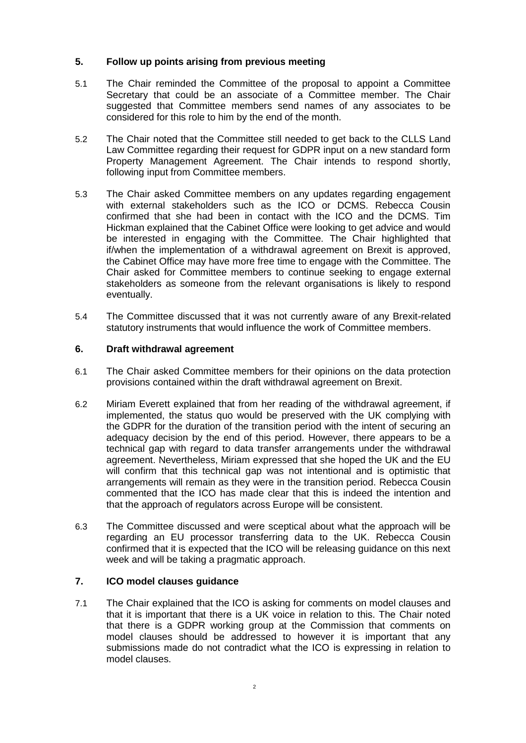## **5. Follow up points arising from previous meeting**

- 5.1 The Chair reminded the Committee of the proposal to appoint a Committee Secretary that could be an associate of a Committee member. The Chair suggested that Committee members send names of any associates to be considered for this role to him by the end of the month.
- 5.2 The Chair noted that the Committee still needed to get back to the CLLS Land Law Committee regarding their request for GDPR input on a new standard form Property Management Agreement. The Chair intends to respond shortly, following input from Committee members.
- 5.3 The Chair asked Committee members on any updates regarding engagement with external stakeholders such as the ICO or DCMS. Rebecca Cousin confirmed that she had been in contact with the ICO and the DCMS. Tim Hickman explained that the Cabinet Office were looking to get advice and would be interested in engaging with the Committee. The Chair highlighted that if/when the implementation of a withdrawal agreement on Brexit is approved, the Cabinet Office may have more free time to engage with the Committee. The Chair asked for Committee members to continue seeking to engage external stakeholders as someone from the relevant organisations is likely to respond eventually.
- 5.4 The Committee discussed that it was not currently aware of any Brexit-related statutory instruments that would influence the work of Committee members.

## **6. Draft withdrawal agreement**

- 6.1 The Chair asked Committee members for their opinions on the data protection provisions contained within the draft withdrawal agreement on Brexit.
- 6.2 Miriam Everett explained that from her reading of the withdrawal agreement, if implemented, the status quo would be preserved with the UK complying with the GDPR for the duration of the transition period with the intent of securing an adequacy decision by the end of this period. However, there appears to be a technical gap with regard to data transfer arrangements under the withdrawal agreement. Nevertheless, Miriam expressed that she hoped the UK and the EU will confirm that this technical gap was not intentional and is optimistic that arrangements will remain as they were in the transition period. Rebecca Cousin commented that the ICO has made clear that this is indeed the intention and that the approach of regulators across Europe will be consistent.
- 6.3 The Committee discussed and were sceptical about what the approach will be regarding an EU processor transferring data to the UK. Rebecca Cousin confirmed that it is expected that the ICO will be releasing guidance on this next week and will be taking a pragmatic approach.

## **7. ICO model clauses guidance**

7.1 The Chair explained that the ICO is asking for comments on model clauses and that it is important that there is a UK voice in relation to this. The Chair noted that there is a GDPR working group at the Commission that comments on model clauses should be addressed to however it is important that any submissions made do not contradict what the ICO is expressing in relation to model clauses.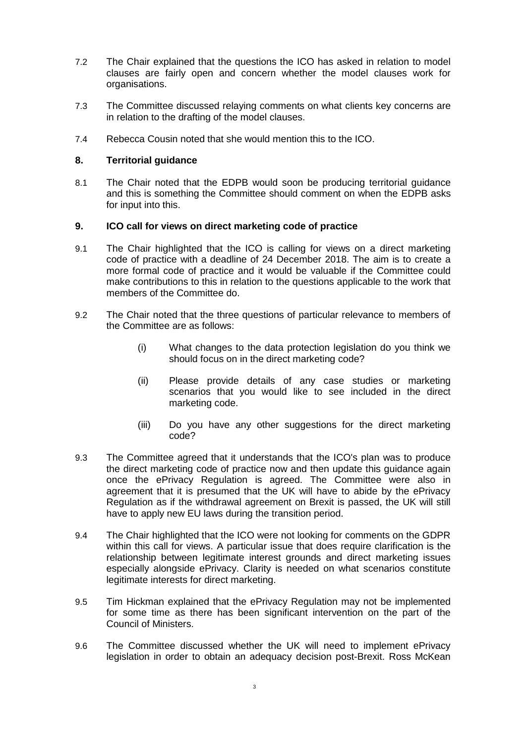- 7.2 The Chair explained that the questions the ICO has asked in relation to model clauses are fairly open and concern whether the model clauses work for organisations.
- 7.3 The Committee discussed relaying comments on what clients key concerns are in relation to the drafting of the model clauses.
- 7.4 Rebecca Cousin noted that she would mention this to the ICO.

## **8. Territorial guidance**

8.1 The Chair noted that the EDPB would soon be producing territorial guidance and this is something the Committee should comment on when the EDPB asks for input into this.

#### **9. ICO call for views on direct marketing code of practice**

- 9.1 The Chair highlighted that the ICO is calling for views on a direct marketing code of practice with a deadline of 24 December 2018. The aim is to create a more formal code of practice and it would be valuable if the Committee could make contributions to this in relation to the questions applicable to the work that members of the Committee do.
- 9.2 The Chair noted that the three questions of particular relevance to members of the Committee are as follows:
	- (i) What changes to the data protection legislation do you think we should focus on in the direct marketing code?
	- (ii) Please provide details of any case studies or marketing scenarios that you would like to see included in the direct marketing code.
	- (iii) Do you have any other suggestions for the direct marketing code?
- 9.3 The Committee agreed that it understands that the ICO's plan was to produce the direct marketing code of practice now and then update this guidance again once the ePrivacy Regulation is agreed. The Committee were also in agreement that it is presumed that the UK will have to abide by the ePrivacy Regulation as if the withdrawal agreement on Brexit is passed, the UK will still have to apply new EU laws during the transition period.
- 9.4 The Chair highlighted that the ICO were not looking for comments on the GDPR within this call for views. A particular issue that does require clarification is the relationship between legitimate interest grounds and direct marketing issues especially alongside ePrivacy. Clarity is needed on what scenarios constitute legitimate interests for direct marketing.
- 9.5 Tim Hickman explained that the ePrivacy Regulation may not be implemented for some time as there has been significant intervention on the part of the Council of Ministers.
- 9.6 The Committee discussed whether the UK will need to implement ePrivacy legislation in order to obtain an adequacy decision post-Brexit. Ross McKean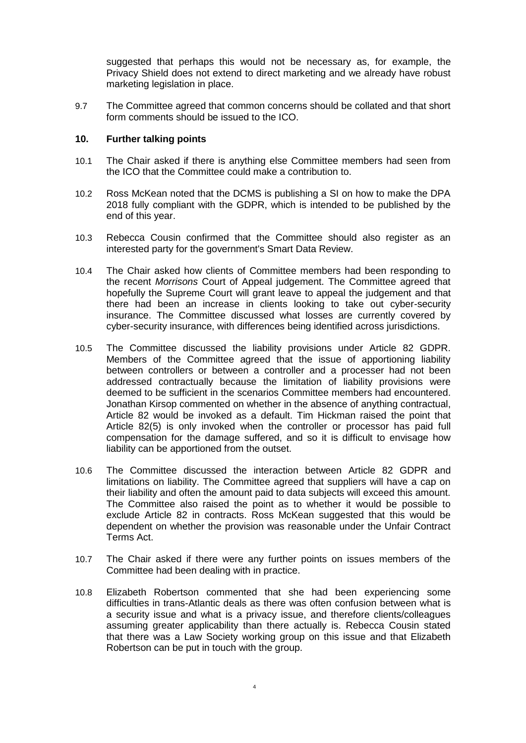suggested that perhaps this would not be necessary as, for example, the Privacy Shield does not extend to direct marketing and we already have robust marketing legislation in place.

9.7 The Committee agreed that common concerns should be collated and that short form comments should be issued to the ICO.

#### **10. Further talking points**

- 10.1 The Chair asked if there is anything else Committee members had seen from the ICO that the Committee could make a contribution to.
- 10.2 Ross McKean noted that the DCMS is publishing a SI on how to make the DPA 2018 fully compliant with the GDPR, which is intended to be published by the end of this year.
- 10.3 Rebecca Cousin confirmed that the Committee should also register as an interested party for the government's Smart Data Review.
- 10.4 The Chair asked how clients of Committee members had been responding to the recent *Morrisons* Court of Appeal judgement. The Committee agreed that hopefully the Supreme Court will grant leave to appeal the judgement and that there had been an increase in clients looking to take out cyber-security insurance. The Committee discussed what losses are currently covered by cyber-security insurance, with differences being identified across jurisdictions.
- 10.5 The Committee discussed the liability provisions under Article 82 GDPR. Members of the Committee agreed that the issue of apportioning liability between controllers or between a controller and a processer had not been addressed contractually because the limitation of liability provisions were deemed to be sufficient in the scenarios Committee members had encountered. Jonathan Kirsop commented on whether in the absence of anything contractual, Article 82 would be invoked as a default. Tim Hickman raised the point that Article 82(5) is only invoked when the controller or processor has paid full compensation for the damage suffered, and so it is difficult to envisage how liability can be apportioned from the outset.
- 10.6 The Committee discussed the interaction between Article 82 GDPR and limitations on liability. The Committee agreed that suppliers will have a cap on their liability and often the amount paid to data subjects will exceed this amount. The Committee also raised the point as to whether it would be possible to exclude Article 82 in contracts. Ross McKean suggested that this would be dependent on whether the provision was reasonable under the Unfair Contract Terms Act.
- 10.7 The Chair asked if there were any further points on issues members of the Committee had been dealing with in practice.
- 10.8 Elizabeth Robertson commented that she had been experiencing some difficulties in trans-Atlantic deals as there was often confusion between what is a security issue and what is a privacy issue, and therefore clients/colleagues assuming greater applicability than there actually is. Rebecca Cousin stated that there was a Law Society working group on this issue and that Elizabeth Robertson can be put in touch with the group.